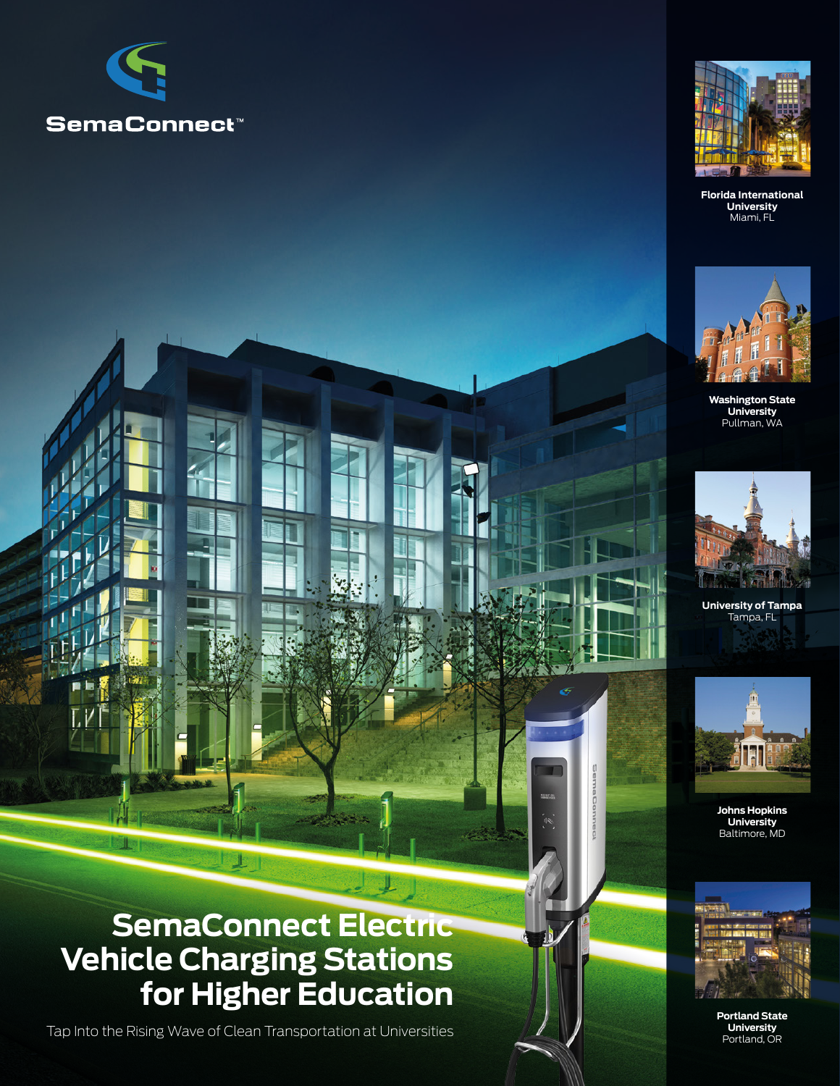



**Florida International University** Miami, FL



**Washington State University** Pullman, WA



**University of Tampa** Tampa, FL



**Johns Hopkins University** Baltimore, MD



**Portland State University** Portland, OR

## **SemaConnect Electric Vehicle Charging Stations for Higher Education**

上

Tap Into the Rising Wave of Clean Transportation at Universities